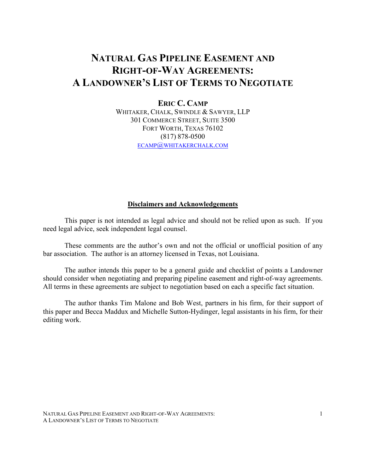# **NATURAL GAS PIPELINE EASEMENT AND RIGHT-OF-WAY AGREEMENTS: A LANDOWNER'S LIST OF TERMS TO NEGOTIATE**

# **ERIC C. CAMP**

WHITAKER, CHALK, SWINDLE & SAWYER, LLP 301 COMMERCE STREET, SUITE 3500 FORT WORTH, TEXAS 76102 (817) 878-0500 ECAMP@[WHITAKERCHALK](mailto:ecamp@whitakerchalk.com).COM

#### **Disclaimers and Acknowledgements**

This paper is not intended as legal advice and should not be relied upon as such. If you need legal advice, seek independent legal counsel.

These comments are the author's own and not the official or unofficial position of any bar association. The author is an attorney licensed in Texas, not Louisiana.

The author intends this paper to be a general guide and checklist of points a Landowner should consider when negotiating and preparing pipeline easement and right-of-way agreements. All terms in these agreements are subject to negotiation based on each a specific fact situation.

The author thanks Tim Malone and Bob West, partners in his firm, for their support of this paper and Becca Maddux and Michelle Sutton-Hydinger, legal assistants in his firm, for their editing work.

NATURAL GAS PIPELINE EASEMENT AND RIGHT-OF-WAY AGREEMENTS: A LANDOWNER'S LIST OF TERMS TO NEGOTIATE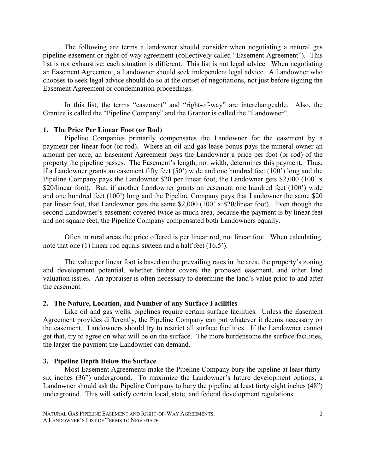The following are terms a landowner should consider when negotiating a natural gas pipeline easement or right-of-way agreement (collectively called "Easement Agreement"). This list is not exhaustive; each situation is different. This list is not legal advice. When negotiating an Easement Agreement, a Landowner should seek independent legal advice. A Landowner who chooses to seek legal advice should do so at the outset of negotiations, not just before signing the Easement Agreement or condemnation proceedings.

In this list, the terms "easement" and "right-of-way" are interchangeable. Also, the Grantee is called the "Pipeline Company" and the Grantor is called the "Landowner".

#### **1. The Price Per Linear Foot (or Rod)**

Pipeline Companies primarily compensates the Landowner for the easement by a payment per linear foot (or rod). Where an oil and gas lease bonus pays the mineral owner an amount per acre, an Easement Agreement pays the Landowner a price per foot (or rod) of the property the pipeline passes. The Easement's length, not width, determines this payment. Thus, if a Landowner grants an easement fifty feet (50') wide and one hundred feet (100') long and the Pipeline Company pays the Landowner \$20 per linear foot, the Landowner gets \$2,000 (100' x \$20/linear foot). But, if another Landowner grants an easement one hundred feet (100') wide and one hundred feet (100') long and the Pipeline Company pays that Landowner the same \$20 per linear foot, that Landowner gets the same \$2,000 (100' x \$20/linear foot). Even though the second Landowner's easement covered twice as much area, because the payment is by linear feet and not square feet, the Pipeline Company compensated both Landowners equally.

Often in rural areas the price offered is per linear rod, not linear foot. When calculating, note that one (1) linear rod equals sixteen and a half feet (16.5').

The value per linear foot is based on the prevailing rates in the area, the property's zoning and development potential, whether timber covers the proposed easement, and other land valuation issues. An appraiser is often necessary to determine the land's value prior to and after the easement.

#### **2. The Nature, Location, and Number of any Surface Facilities**

Like oil and gas wells, pipelines require certain surface facilities. Unless the Easement Agreement provides differently, the Pipeline Company can put whatever it deems necessary on the easement. Landowners should try to restrict all surface facilities. If the Landowner cannot get that, try to agree on what will be on the surface. The more burdensome the surface facilities, the larger the payment the Landowner can demand.

#### **3. Pipeline Depth Below the Surface**

Most Easement Agreements make the Pipeline Company bury the pipeline at least thirtysix inches (36") underground. To maximize the Landowner's future development options, a Landowner should ask the Pipeline Company to bury the pipeline at least forty eight inches (48") underground. This will satisfy certain local, state, and federal development regulations.

NATURAL GAS PIPELINE EASEMENT AND RIGHT-OF-WAY AGREEMENTS: A LANDOWNER'S LIST OF TERMS TO NEGOTIATE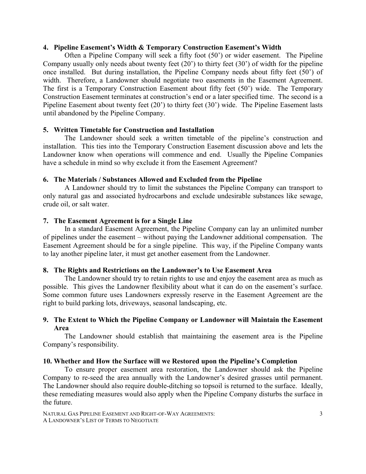#### **4. Pipeline Easement's Width & Temporary Construction Easement's Width**

Often a Pipeline Company will seek a fifty foot (50') or wider easement. The Pipeline Company usually only needs about twenty feet  $(20^{\prime})$  to thirty feet  $(30^{\prime})$  of width for the pipeline once installed. But during installation, the Pipeline Company needs about fifty feet (50') of width. Therefore, a Landowner should negotiate two easements in the Easement Agreement. The first is a Temporary Construction Easement about fifty feet (50') wide. The Temporary Construction Easement terminates at construction's end or a later specified time. The second is a Pipeline Easement about twenty feet (20') to thirty feet (30') wide. The Pipeline Easement lasts until abandoned by the Pipeline Company.

# **5. Written Timetable for Construction and Installation**

The Landowner should seek a written timetable of the pipeline's construction and installation. This ties into the Temporary Construction Easement discussion above and lets the Landowner know when operations will commence and end. Usually the Pipeline Companies have a schedule in mind so why exclude it from the Easement Agreement?

# **6. The Materials / Substances Allowed and Excluded from the Pipeline**

A Landowner should try to limit the substances the Pipeline Company can transport to only natural gas and associated hydrocarbons and exclude undesirable substances like sewage, crude oil, or salt water.

#### **7. The Easement Agreement is for a Single Line**

In a standard Easement Agreement, the Pipeline Company can lay an unlimited number of pipelines under the easement – without paying the Landowner additional compensation. The Easement Agreement should be for a single pipeline. This way, if the Pipeline Company wants to lay another pipeline later, it must get another easement from the Landowner.

# **8. The Rights and Restrictions on the Landowner's to Use Easement Area**

The Landowner should try to retain rights to use and enjoy the easement area as much as possible. This gives the Landowner flexibility about what it can do on the easement's surface. Some common future uses Landowners expressly reserve in the Easement Agreement are the right to build parking lots, driveways, seasonal landscaping, etc.

# **9. The Extent to Which the Pipeline Company or Landowner will Maintain the Easement Area**

The Landowner should establish that maintaining the easement area is the Pipeline Company's responsibility.

#### **10. Whether and How the Surface will we Restored upon the Pipeline's Completion**

 To ensure proper easement area restoration, the Landowner should ask the Pipeline Company to re-seed the area annually with the Landowner's desired grasses until permanent. The Landowner should also require double-ditching so topsoil is returned to the surface. Ideally, these remediating measures would also apply when the Pipeline Company disturbs the surface in the future.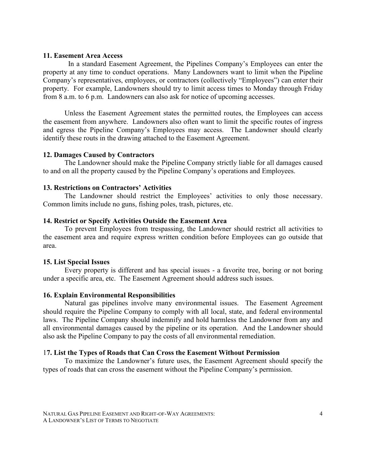#### **11. Easement Area Access**

 In a standard Easement Agreement, the Pipelines Company's Employees can enter the property at any time to conduct operations. Many Landowners want to limit when the Pipeline Company's representatives, employees, or contractors (collectively "Employees") can enter their property. For example, Landowners should try to limit access times to Monday through Friday from 8 a.m. to 6 p.m. Landowners can also ask for notice of upcoming accesses.

Unless the Easement Agreement states the permitted routes, the Employees can access the easement from anywhere. Landowners also often want to limit the specific routes of ingress and egress the Pipeline Company's Employees may access. The Landowner should clearly identify these routs in the drawing attached to the Easement Agreement.

#### **12. Damages Caused by Contractors**

The Landowner should make the Pipeline Company strictly liable for all damages caused to and on all the property caused by the Pipeline Company's operations and Employees.

#### **13. Restrictions on Contractors' Activities**

The Landowner should restrict the Employees' activities to only those necessary. Common limits include no guns, fishing poles, trash, pictures, etc.

#### **14. Restrict or Specify Activities Outside the Easement Area**

To prevent Employees from trespassing, the Landowner should restrict all activities to the easement area and require express written condition before Employees can go outside that area.

#### **15. List Special Issues**

Every property is different and has special issues - a favorite tree, boring or not boring under a specific area, etc. The Easement Agreement should address such issues.

#### **16. Explain Environmental Responsibilities**

Natural gas pipelines involve many environmental issues. The Easement Agreement should require the Pipeline Company to comply with all local, state, and federal environmental laws. The Pipeline Company should indemnify and hold harmless the Landowner from any and all environmental damages caused by the pipeline or its operation. And the Landowner should also ask the Pipeline Company to pay the costs of all environmental remediation.

#### 1**7. List the Types of Roads that Can Cross the Easement Without Permission**

To maximize the Landowner's future uses, the Easement Agreement should specify the types of roads that can cross the easement without the Pipeline Company's permission.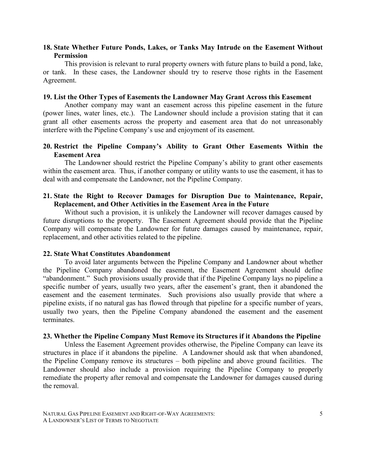# **18. State Whether Future Ponds, Lakes, or Tanks May Intrude on the Easement Without Permission**

This provision is relevant to rural property owners with future plans to build a pond, lake, or tank. In these cases, the Landowner should try to reserve those rights in the Easement Agreement.

#### **19. List the Other Types of Easements the Landowner May Grant Across this Easement**

Another company may want an easement across this pipeline easement in the future (power lines, water lines, etc.). The Landowner should include a provision stating that it can grant all other easements across the property and easement area that do not unreasonably interfere with the Pipeline Company's use and enjoyment of its easement.

# **20. Restrict the Pipeline Company's Ability to Grant Other Easements Within the Easement Area**

The Landowner should restrict the Pipeline Company's ability to grant other easements within the easement area. Thus, if another company or utility wants to use the easement, it has to deal with and compensate the Landowner, not the Pipeline Company.

#### **21. State the Right to Recover Damages for Disruption Due to Maintenance, Repair, Replacement, and Other Activities in the Easement Area in the Future**

Without such a provision, it is unlikely the Landowner will recover damages caused by future disruptions to the property. The Easement Agreement should provide that the Pipeline Company will compensate the Landowner for future damages caused by maintenance, repair, replacement, and other activities related to the pipeline.

# **22. State What Constitutes Abandonment**

To avoid later arguments between the Pipeline Company and Landowner about whether the Pipeline Company abandoned the easement, the Easement Agreement should define "abandonment." Such provisions usually provide that if the Pipeline Company lays no pipeline a specific number of years, usually two years, after the easement's grant, then it abandoned the easement and the easement terminates. Such provisions also usually provide that where a pipeline exists, if no natural gas has flowed through that pipeline for a specific number of years, usually two years, then the Pipeline Company abandoned the easement and the easement terminates.

#### **23. Whether the Pipeline Company Must Remove its Structures if it Abandons the Pipeline**

Unless the Easement Agreement provides otherwise, the Pipeline Company can leave its structures in place if it abandons the pipeline. A Landowner should ask that when abandoned, the Pipeline Company remove its structures – both pipeline and above ground facilities. The Landowner should also include a provision requiring the Pipeline Company to properly remediate the property after removal and compensate the Landowner for damages caused during the removal.

NATURAL GAS PIPELINE EASEMENT AND RIGHT-OF-WAY AGREEMENTS: A LANDOWNER'S LIST OF TERMS TO NEGOTIATE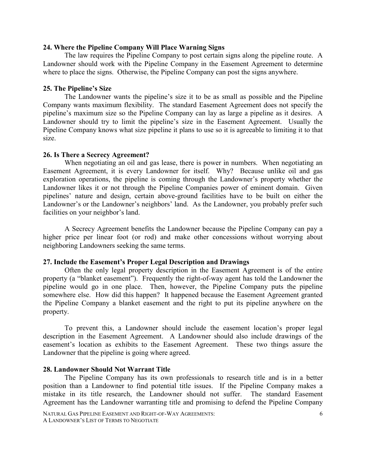#### **24. Where the Pipeline Company Will Place Warning Signs**

The law requires the Pipeline Company to post certain signs along the pipeline route. A Landowner should work with the Pipeline Company in the Easement Agreement to determine where to place the signs. Otherwise, the Pipeline Company can post the signs anywhere.

# **25. The Pipeline's Size**

The Landowner wants the pipeline's size it to be as small as possible and the Pipeline Company wants maximum flexibility. The standard Easement Agreement does not specify the pipeline's maximum size so the Pipeline Company can lay as large a pipeline as it desires. A Landowner should try to limit the pipeline's size in the Easement Agreement. Usually the Pipeline Company knows what size pipeline it plans to use so it is agreeable to limiting it to that size.

# **26. Is There a Secrecy Agreement?**

When negotiating an oil and gas lease, there is power in numbers. When negotiating an Easement Agreement, it is every Landowner for itself. Why? Because unlike oil and gas exploration operations, the pipeline is coming through the Landowner's property whether the Landowner likes it or not through the Pipeline Companies power of eminent domain. Given pipelines' nature and design, certain above-ground facilities have to be built on either the Landowner's or the Landowner's neighbors' land. As the Landowner, you probably prefer such facilities on your neighbor's land.

A Secrecy Agreement benefits the Landowner because the Pipeline Company can pay a higher price per linear foot (or rod) and make other concessions without worrying about neighboring Landowners seeking the same terms.

# **27. Include the Easement's Proper Legal Description and Drawings**

Often the only legal property description in the Easement Agreement is of the entire property (a "blanket easement"). Frequently the right-of-way agent has told the Landowner the pipeline would go in one place. Then, however, the Pipeline Company puts the pipeline somewhere else. How did this happen? It happened because the Easement Agreement granted the Pipeline Company a blanket easement and the right to put its pipeline anywhere on the property.

To prevent this, a Landowner should include the easement location's proper legal description in the Easement Agreement. A Landowner should also include drawings of the easement's location as exhibits to the Easement Agreement. These two things assure the Landowner that the pipeline is going where agreed.

# **28. Landowner Should Not Warrant Title**

The Pipeline Company has its own professionals to research title and is in a better position than a Landowner to find potential title issues. If the Pipeline Company makes a mistake in its title research, the Landowner should not suffer. The standard Easement Agreement has the Landowner warranting title and promising to defend the Pipeline Company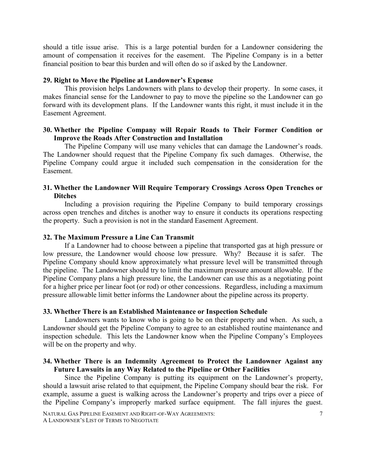should a title issue arise. This is a large potential burden for a Landowner considering the amount of compensation it receives for the easement. The Pipeline Company is in a better financial position to bear this burden and will often do so if asked by the Landowner.

# **29. Right to Move the Pipeline at Landowner's Expense**

This provision helps Landowners with plans to develop their property. In some cases, it makes financial sense for the Landowner to pay to move the pipeline so the Landowner can go forward with its development plans. If the Landowner wants this right, it must include it in the Easement Agreement.

# **30. Whether the Pipeline Company will Repair Roads to Their Former Condition or Improve the Roads After Construction and Installation**

The Pipeline Company will use many vehicles that can damage the Landowner's roads. The Landowner should request that the Pipeline Company fix such damages. Otherwise, the Pipeline Company could argue it included such compensation in the consideration for the Easement.

# **31. Whether the Landowner Will Require Temporary Crossings Across Open Trenches or Ditches**

Including a provision requiring the Pipeline Company to build temporary crossings across open trenches and ditches is another way to ensure it conducts its operations respecting the property. Such a provision is not in the standard Easement Agreement.

#### **32. The Maximum Pressure a Line Can Transmit**

If a Landowner had to choose between a pipeline that transported gas at high pressure or low pressure, the Landowner would choose low pressure. Why? Because it is safer. The Pipeline Company should know approximately what pressure level will be transmitted through the pipeline. The Landowner should try to limit the maximum pressure amount allowable. If the Pipeline Company plans a high pressure line, the Landowner can use this as a negotiating point for a higher price per linear foot (or rod) or other concessions. Regardless, including a maximum pressure allowable limit better informs the Landowner about the pipeline across its property.

# **33. Whether There is an Established Maintenance or Inspection Schedule**

Landowners wants to know who is going to be on their property and when. As such, a Landowner should get the Pipeline Company to agree to an established routine maintenance and inspection schedule. This lets the Landowner know when the Pipeline Company's Employees will be on the property and why.

# **34. Whether There is an Indemnity Agreement to Protect the Landowner Against any Future Lawsuits in any Way Related to the Pipeline or Other Facilities**

Since the Pipeline Company is putting its equipment on the Landowner's property, should a lawsuit arise related to that equipment, the Pipeline Company should bear the risk. For example, assume a guest is walking across the Landowner's property and trips over a piece of the Pipeline Company's improperly marked surface equipment. The fall injures the guest.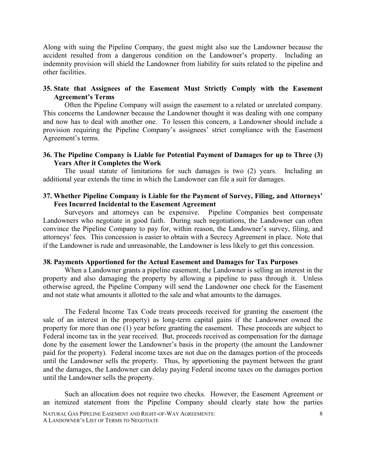Along with suing the Pipeline Company, the guest might also sue the Landowner because the accident resulted from a dangerous condition on the Landowner's property. Including an indemnity provision will shield the Landowner from liability for suits related to the pipeline and other facilities.

# **35. State that Assignees of the Easement Must Strictly Comply with the Easement Agreement's Terms**

Often the Pipeline Company will assign the easement to a related or unrelated company. This concerns the Landowner because the Landowner thought it was dealing with one company and now has to deal with another one. To lessen this concern, a Landowner should include a provision requiring the Pipeline Company's assignees' strict compliance with the Easement Agreement's terms.

# **36. The Pipeline Company is Liable for Potential Payment of Damages for up to Three (3) Years After it Completes the Work**

The usual statute of limitations for such damages is two (2) years. Including an additional year extends the time in which the Landowner can file a suit for damages.

# **37. Whether Pipeline Company is Liable for the Payment of Survey, Filing, and Attorneys' Fees Incurred Incidental to the Easement Agreement**

Surveyors and attorneys can be expensive. Pipeline Companies best compensate Landowners who negotiate in good faith. During such negotiations, the Landowner can often convince the Pipeline Company to pay for, within reason, the Landowner's survey, filing, and attorneys' fees. This concession is easier to obtain with a Secrecy Agreement in place. Note that if the Landowner is rude and unreasonable, the Landowner is less likely to get this concession.

#### **38. Payments Apportioned for the Actual Easement and Damages for Tax Purposes**

When a Landowner grants a pipeline easement, the Landowner is selling an interest in the property and also damaging the property by allowing a pipeline to pass through it. Unless otherwise agreed, the Pipeline Company will send the Landowner one check for the Easement and not state what amounts it allotted to the sale and what amounts to the damages.

The Federal Income Tax Code treats proceeds received for granting the easement (the sale of an interest in the property) as long-term capital gains if the Landowner owned the property for more than one (1) year before granting the easement. These proceeds are subject to Federal income tax in the year received. But, proceeds received as compensation for the damage done by the easement lower the Landowner's basis in the property (the amount the Landowner paid for the property). Federal income taxes are not due on the damages portion of the proceeds until the Landowner sells the property. Thus, by apportioning the payment between the grant and the damages, the Landowner can delay paying Federal income taxes on the damages portion until the Landowner sells the property.

Such an allocation does not require two checks. However, the Easement Agreement or an itemized statement from the Pipeline Company should clearly state how the parties